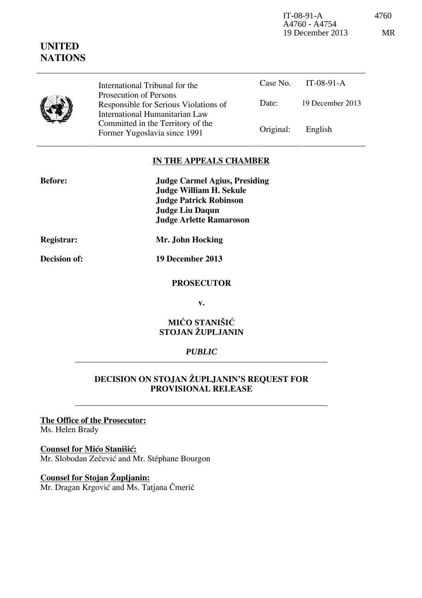IT-08-91-A 4760 A4760 - A4754 19 December 2013 MR

|  | International Tribunal for the                                                                    |           | Case No. IT-08-91-A |
|--|---------------------------------------------------------------------------------------------------|-----------|---------------------|
|  | Prosecution of Persons<br>Responsible for Serious Violations of<br>International Humanitarian Law | Date:     | 19 December 2013    |
|  | Committed in the Territory of the<br>Former Yugoslavia since 1991                                 | Original: | English             |

## **IN THE APPEALS CHAMBER**

| <b>Before:</b> | <b>Judge Carmel Agius, Presiding</b> |
|----------------|--------------------------------------|
|                | <b>Judge William H. Sekule</b>       |
|                | <b>Judge Patrick Robinson</b>        |
|                | Judge Liu Daqun                      |
|                | <b>Judge Arlette Ramaroson</b>       |
|                |                                      |

**UNITED NATIONS**

**Registrar: Mr. John Hocking** 

**Decision of: 19 December 2013** 

#### **PROSECUTOR**

**v.** 

### **MIĆO STANIŠIĆ STOJAN ŽUPLJANIN**

### *PUBLIC*

# **DECISION ON STOJAN ŽUPLJANIN'S REQUEST FOR PROVISIONAL RELEASE**

## **The Office of the Prosecutor:**

Ms. Helen Brady

#### **Counsel for Mico Stanišić:**

Mr. Slobodan Zečević and Mr. Stéphane Bourgon

### **Counsel for Stojan Župljanin:**

Mr. Dragan Krgović and Ms. Tatjana Čmerić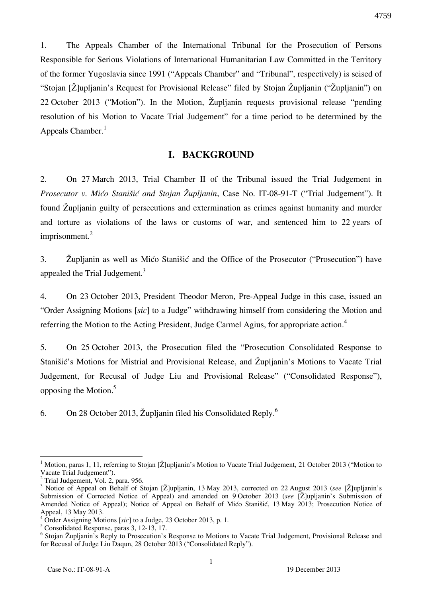1. The Appeals Chamber of the International Tribunal for the Prosecution of Persons Responsible for Serious Violations of International Humanitarian Law Committed in the Territory of the former Yugoslavia since 1991 ("Appeals Chamber" and "Tribunal", respectively) is seised of "Stojan [Ž]upljanin's Request for Provisional Release" filed by Stojan Župljanin ("Župljanin") on 22 October 2013 ("Motion"). In the Motion, Župljanin requests provisional release "pending resolution of his Motion to Vacate Trial Judgement" for a time period to be determined by the Appeals Chamber.<sup>1</sup>

#### **I. BACKGROUND**

2. On 27 March 2013, Trial Chamber II of the Tribunal issued the Trial Judgement in *Prosecutor v. Mićo Stanišić and Stojan Župljanin*, Case No. IT-08-91-T ("Trial Judgement"). It found Župljanin guilty of persecutions and extermination as crimes against humanity and murder and torture as violations of the laws or customs of war, and sentenced him to 22 years of imprisonment.<sup>2</sup>

3. Župljanin as well as Mićo Stanišić and the Office of the Prosecutor ("Prosecution") have appealed the Trial Judgement.<sup>3</sup>

4. On 23 October 2013, President Theodor Meron, Pre-Appeal Judge in this case, issued an "Order Assigning Motions [sic] to a Judge" withdrawing himself from considering the Motion and referring the Motion to the Acting President, Judge Carmel Agius, for appropriate action.<sup>4</sup>

5. On 25 October 2013, the Prosecution filed the "Prosecution Consolidated Response to Stanišić's Motions for Mistrial and Provisional Release, and Župljanin's Motions to Vacate Trial Judgement, for Recusal of Judge Liu and Provisional Release" ("Consolidated Response"), opposing the Motion.<sup>5</sup>

6. On 28 October 2013, Župljanin filed his Consolidated Reply.<sup>6</sup>

<sup>&</sup>lt;sup>1</sup> Motion, paras 1, 11, referring to Stojan [Ž]upljanin's Motion to Vacate Trial Judgement, 21 October 2013 ("Motion to Vacate Trial Judgement").

<sup>&</sup>lt;sup>2</sup> Trial Judgement, Vol. 2, para. 956.

<sup>3</sup> Notice of Appeal on Behalf of Stojan [Ž]upljanin, 13 May 2013, corrected on 22 August 2013 (*see* [Ž]upljanin's Submission of Corrected Notice of Appeal) and amended on 9 October 2013 (*see* [Ž]upljanin's Submission of Amended Notice of Appeal); Notice of Appeal on Behalf of Mićo Stanišić, 13 May 2013; Prosecution Notice of Appeal, 13 May 2013.

<sup>&</sup>lt;sup>4</sup> Order Assigning Motions [sic] to a Judge, 23 October 2013, p. 1.

<sup>5</sup> Consolidated Response, paras 3, 12-13, 17.

<sup>&</sup>lt;sup>6</sup> Stojan Župljanin's Reply to Prosecution's Response to Motions to Vacate Trial Judgement, Provisional Release and for Recusal of Judge Liu Daqun, 28 October 2013 ("Consolidated Reply").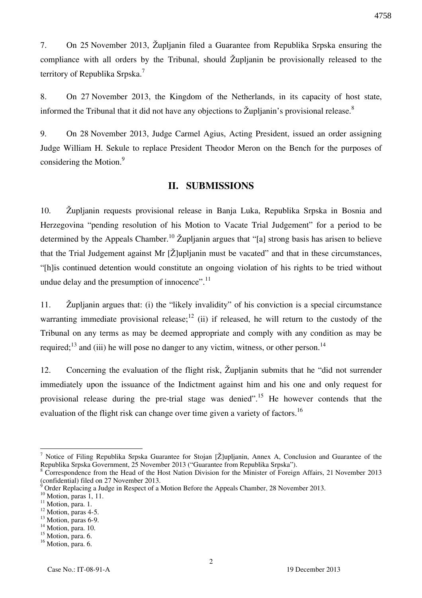7. On 25 November 2013, Župljanin filed a Guarantee from Republika Srpska ensuring the compliance with all orders by the Tribunal, should Župljanin be provisionally released to the territory of Republika Srpska.<sup>7</sup>

8. On 27 November 2013, the Kingdom of the Netherlands, in its capacity of host state, informed the Tribunal that it did not have any objections to  $\check{Z}$ upljanin's provisional release.<sup>8</sup>

9. On 28 November 2013, Judge Carmel Agius, Acting President, issued an order assigning Judge William H. Sekule to replace President Theodor Meron on the Bench for the purposes of considering the Motion.<sup>9</sup>

#### **II. SUBMISSIONS**

10. Župljanin requests provisional release in Banja Luka, Republika Srpska in Bosnia and Herzegovina "pending resolution of his Motion to Vacate Trial Judgement" for a period to be determined by the Appeals Chamber.<sup>10</sup> Župlianin argues that "<sup>†</sup>a] strong basis has arisen to believe that the Trial Judgement against Mr  $[\check{Z}]$ upljanin must be vacated" and that in these circumstances, "[h] is continued detention would constitute an ongoing violation of his rights to be tried without undue delay and the presumption of innocence". $^{11}$ 

11. Župljanin argues that: (i) the "likely invalidity" of his conviction is a special circumstance warranting immediate provisional release;<sup>12</sup> (ii) if released, he will return to the custody of the Tribunal on any terms as may be deemed appropriate and comply with any condition as may be required;<sup>13</sup> and (iii) he will pose no danger to any victim, witness, or other person.<sup>14</sup>

12. Concerning the evaluation of the flight risk, Župljanin submits that he "did not surrender immediately upon the issuance of the Indictment against him and his one and only request for provisional release during the pre-trial stage was denied".<sup>15</sup> He however contends that the evaluation of the flight risk can change over time given a variety of factors.<sup>16</sup>

<sup>&</sup>lt;sup>7</sup> Notice of Filing Republika Srpska Guarantee for Stojan [Ž]upljanin, Annex A, Conclusion and Guarantee of the Republika Srpska Government, 25 November 2013 ("Guarantee from Republika Srpska").

<sup>&</sup>lt;sup>8</sup> Correspondence from the Head of the Host Nation Division for the Minister of Foreign Affairs, 21 November 2013 (confidential) filed on 27 November 2013.

<sup>9</sup> Order Replacing a Judge in Respect of a Motion Before the Appeals Chamber, 28 November 2013.

 $10$  Motion, paras 1, 11.

 $11$  Motion, para. 1.

<sup>&</sup>lt;sup>12</sup> Motion, paras 4-5.

<sup>&</sup>lt;sup>13</sup> Motion, paras 6-9.

<sup>&</sup>lt;sup>14</sup> Motion, para. 10.

<sup>&</sup>lt;sup>15</sup> Motion, para. 6.

<sup>&</sup>lt;sup>16</sup> Motion, para. 6.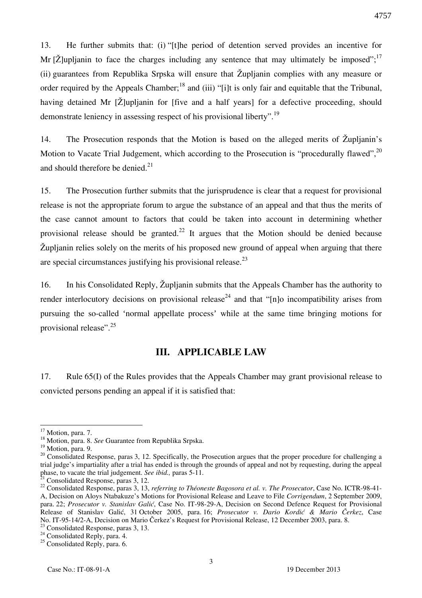13. He further submits that: (i) "[t]he period of detention served provides an incentive for Mr  $[\check{Z}]$ upljanin to face the charges including any sentence that may ultimately be imposed";<sup>17</sup> (ii) guarantees from Republika Srpska will ensure that Župljanin complies with any measure or order required by the Appeals Chamber;<sup>18</sup> and (iii) "[i]t is only fair and equitable that the Tribunal, having detained Mr  $[\check{Z}]$ upljanin for  $[\text{five and a half years}]$  for a defective proceeding, should demonstrate leniency in assessing respect of his provisional liberty".<sup>19</sup>

14. The Prosecution responds that the Motion is based on the alleged merits of Župljanin's Motion to Vacate Trial Judgement, which according to the Prosecution is "procedurally flawed",<sup>20</sup> and should therefore be denied. $21$ 

15. The Prosecution further submits that the jurisprudence is clear that a request for provisional release is not the appropriate forum to argue the substance of an appeal and that thus the merits of the case cannot amount to factors that could be taken into account in determining whether provisional release should be granted.<sup>22</sup> It argues that the Motion should be denied because Župljanin relies solely on the merits of his proposed new ground of appeal when arguing that there are special circumstances justifying his provisional release. $^{23}$ 

16. In his Consolidated Reply, Župljanin submits that the Appeals Chamber has the authority to render interlocutory decisions on provisional release<sup>24</sup> and that "[n]o incompatibility arises from pursuing the so-called 'normal appellate process' while at the same time bringing motions for provisional release".<sup>25</sup>

### **III. APPLICABLE LAW**

17. Rule 65(I) of the Rules provides that the Appeals Chamber may grant provisional release to convicted persons pending an appeal if it is satisfied that:

 $17$  Motion, para. 7.

<sup>18</sup> Motion, para. 8. *See* Guarantee from Republika Srpska.

<sup>&</sup>lt;sup>19</sup> Motion, para. 9.

<sup>&</sup>lt;sup>20</sup> Consolidated Response, paras 3, 12. Specifically, the Prosecution argues that the proper procedure for challenging a trial judge's impartiality after a trial has ended is through the grounds of appeal and not by requesting, during the appeal phase, to vacate the trial judgement. *See ibid.,* paras 5-11.

<sup>&</sup>lt;sup>1</sup> Consolidated Response, paras 3, 12.

<sup>22</sup> Consolidated Response, paras 3, 13, *referring to Théoneste Bagosora et al. v. The Prosecutor*, Case No. ICTR-98-41- A, Decision on Aloys Ntabakuze's Motions for Provisional Release and Leave to File *Corrigendum*, 2 September 2009, para. 22; *Prosecutor v. Stanislav Gali}*, Case No. IT-98-29-A, Decision on Second Defence Request for Provisional Release of Stanislav Gali}, 31 October 2005, para. 16; *Prosecutor v. Dario Kordić & Mario Čerkez*, Case No. IT-95-14/2-A, Decision on Mario Čerkez's Request for Provisional Release, 12 December 2003, para. 8. <sup>23</sup> Consolidated Response, paras 3, 13.

<sup>&</sup>lt;sup>24</sup> Consolidated Reply, para. 4.

<sup>&</sup>lt;sup>25</sup> Consolidated Reply, para. 6.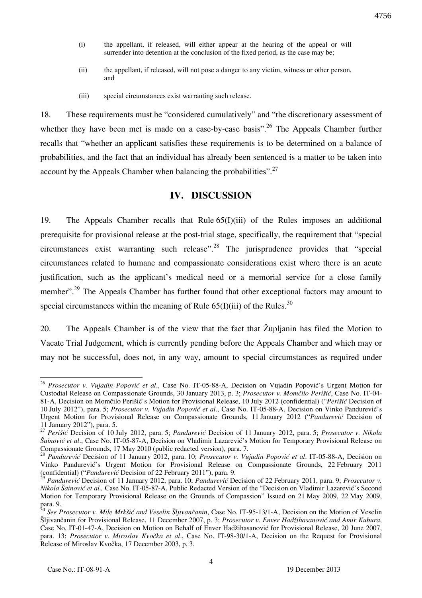- (i) the appellant, if released, will either appear at the hearing of the appeal or will surrender into detention at the conclusion of the fixed period, as the case may be;
- (ii) the appellant, if released, will not pose a danger to any victim, witness or other person, and
- (iii) special circumstances exist warranting such release.

18. These requirements must be "considered cumulatively" and "the discretionary assessment of whether they have been met is made on a case-by-case basis".<sup>26</sup> The Appeals Chamber further recalls that "whether an applicant satisfies these requirements is to be determined on a balance of probabilities, and the fact that an individual has already been sentenced is a matter to be taken into account by the Appeals Chamber when balancing the probabilities".<sup>27</sup>

### **IV. DISCUSSION**

19. The Appeals Chamber recalls that Rule 65(I)(iii) of the Rules imposes an additional prerequisite for provisional release at the post-trial stage, specifically, the requirement that "special circumstances exist warranting such release".<sup>28</sup> The jurisprudence provides that "special circumstances related to humane and compassionate considerations exist where there is an acute justification, such as the applicant's medical need or a memorial service for a close family member".<sup>29</sup> The Appeals Chamber has further found that other exceptional factors may amount to special circumstances within the meaning of Rule  $65(I)(iii)$  of the Rules.<sup>30</sup>

20. The Appeals Chamber is of the view that the fact that Župljanin has filed the Motion to Vacate Trial Judgement, which is currently pending before the Appeals Chamber and which may or may not be successful, does not, in any way, amount to special circumstances as required under

<sup>26</sup> *Prosecutor v. Vujadin Popović et al*., Case No. IT-05-88-A, Decision on Vujadin Popović's Urgent Motion for Custodial Release on Compassionate Grounds, 30 January 2013, p. 3; *Prosecutor v. Momčilo Perišić*, Case No. IT-04- 81-A, Decision on Momčilo Perišić's Motion for Provisional Release, 10 July 2012 (confidential) ("*Perišić* Decision of 10 July 2012"), para. 5; *Prosecutor v. Vujadin Popović et al*., Case No. IT-05-88-A, Decision on Vinko Pandurević's Urgent Motion for Provisional Release on Compassionate Grounds, 11 January 2012 ("*Pandurević* Decision of 11 January 2012"), para. 5.

<sup>27</sup> *Perišić* Decision of 10 July 2012, para. 5; *Pandurević* Decision of 11 January 2012, para. 5; *Prosecutor v. Nikola Šainović et al*., Case No. IT-05-87-A, Decision on Vladimir Lazarević's Motion for Temporary Provisional Release on Compassionate Grounds, 17 May 2010 (public redacted version), para. 7.

<sup>28</sup> *Pandurević* Decision of 11 January 2012, para. 10; *Prosecutor v. Vujadin Popović et al*. IT-05-88-A, Decision on Vinko Pandurević's Urgent Motion for Provisional Release on Compassionate Grounds, 22 February 2011 (confidential) ("*Pandurević* Decision of 22 February 2011"), para. 9.

<sup>29</sup> *Pandurević* Decision of 11 January 2012, para. 10; *Pandurević* Decision of 22 February 2011, para. 9; *Prosecutor v. Nikola [ainović et al.,* Case No. IT-05-87-A, Public Redacted Version of the "Decision on Vladimir Lazarević's Second Motion for Temporary Provisional Release on the Grounds of Compassion" Issued on 21 May 2009, 22 May 2009, para. 9.

<sup>&</sup>lt;sup>30</sup> See Prosecutor v. Mile Mrkšić and Veselin Šljivančanin, Case No. IT-95-13/1-A, Decision on the Motion of Veselin [ljivančanin for Provisional Release, 11 December 2007, p. 3; *Prosecutor v. Enver Hadžihasanovi} and Amir Kubura*, Case No. IT-01-47-A, Decision on Motion on Behalf of Enver Hadžihasanović for Provisional Release, 20 June 2007, para. 13; *Prosecutor v. Miroslav Kvočka et al*., Case No. IT-98-30/1-A, Decision on the Request for Provisional Release of Miroslav Kvočka, 17 December 2003, p. 3.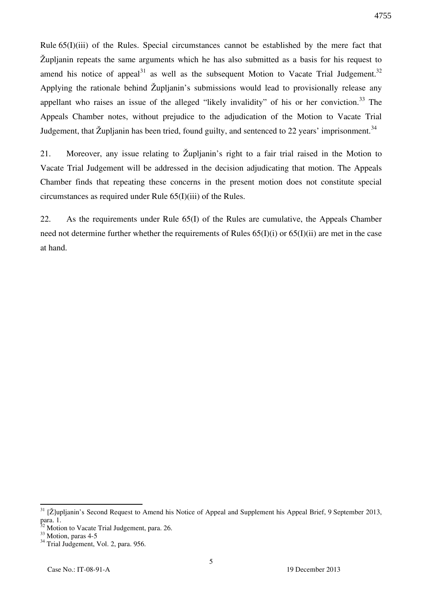Rule 65(I)(iii) of the Rules. Special circumstances cannot be established by the mere fact that Župljanin repeats the same arguments which he has also submitted as a basis for his request to amend his notice of appeal<sup>31</sup> as well as the subsequent Motion to Vacate Trial Judgement.<sup>32</sup> Applying the rationale behind Župljanin's submissions would lead to provisionally release any appellant who raises an issue of the alleged "likely invalidity" of his or her conviction.<sup>33</sup> The Appeals Chamber notes, without prejudice to the adjudication of the Motion to Vacate Trial Judgement, that Župljanin has been tried, found guilty, and sentenced to 22 years' imprisonment.<sup>34</sup>

21. Moreover, any issue relating to Župljanin's right to a fair trial raised in the Motion to Vacate Trial Judgement will be addressed in the decision adjudicating that motion. The Appeals Chamber finds that repeating these concerns in the present motion does not constitute special circumstances as required under Rule 65(I)(iii) of the Rules.

22. As the requirements under Rule 65(I) of the Rules are cumulative, the Appeals Chamber need not determine further whether the requirements of Rules  $65(I)(i)$  or  $65(I)(ii)$  are met in the case at hand.

 $31$  [Ž]upljanin's Second Request to Amend his Notice of Appeal and Supplement his Appeal Brief, 9 September 2013, para. 1.

 $2^2$  Motion to Vacate Trial Judgement, para. 26.

<sup>33</sup> Motion, paras 4-5

<sup>&</sup>lt;sup>34</sup> Trial Judgement, Vol. 2, para. 956.